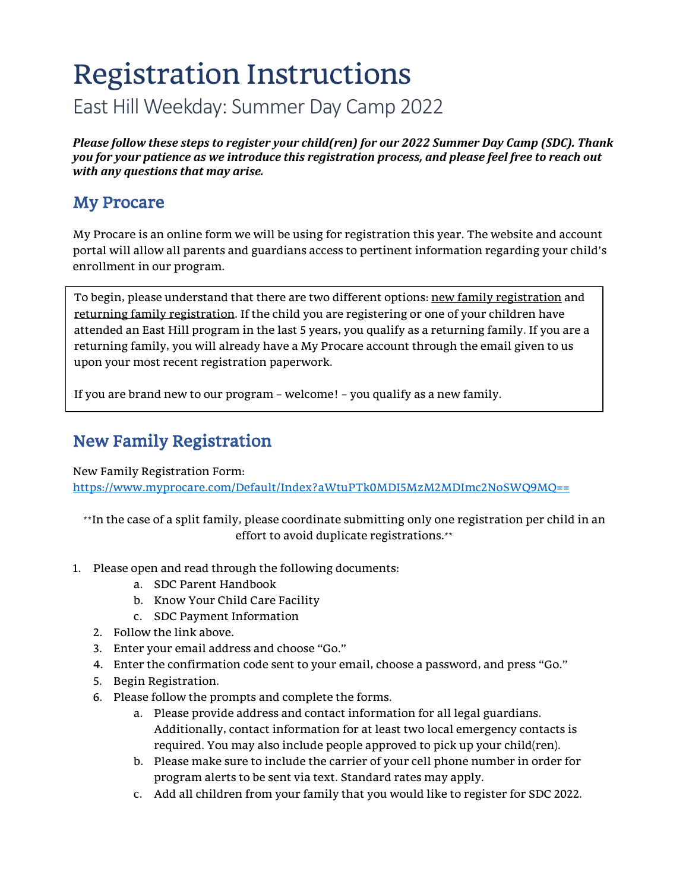# Registration Instructions East Hill Weekday: Summer Day Camp 2022

*Please follow these steps to register your child(ren) for our 2022 Summer Day Camp (SDC). Thank you for your patience as we introduce this registration process, and please feel free to reach out with any questions that may arise.*

### My Procare

My Procare is an online form we will be using for registration this year. The website and account portal will allow all parents and guardians access to pertinent information regarding your child's enrollment in our program.

To begin, please understand that there are two different options: new family registration and returning family registration. If the child you are registering or one of your children have attended an East Hill program in the last 5 years, you qualify as a returning family. If you are a returning family, you will already have a My Procare account through the email given to us upon your most recent registration paperwork.

If you are brand new to our program – welcome! – you qualify as a new family.

## New Family Registration

New Family Registration Form:

<https://www.myprocare.com/Default/Index?aWtuPTk0MDI5MzM2MDImc2NoSWQ9MQ==>

\*\*In the case of a split family, please coordinate submitting only one registration per child in an effort to avoid duplicate registrations.\*\*

- 1. Please open and read through the following documents:
	- a. SDC Parent Handbook
	- b. Know Your Child Care Facility
	- c. SDC Payment Information
	- 2. Follow the link above.
	- 3. Enter your email address and choose "Go."
	- 4. Enter the confirmation code sent to your email, choose a password, and press "Go."
	- 5. Begin Registration.
	- 6. Please follow the prompts and complete the forms.
		- a. Please provide address and contact information for all legal guardians. Additionally, contact information for at least two local emergency contacts is required. You may also include people approved to pick up your child(ren).
		- b. Please make sure to include the carrier of your cell phone number in order for program alerts to be sent via text. Standard rates may apply.
		- c. Add all children from your family that you would like to register for SDC 2022.